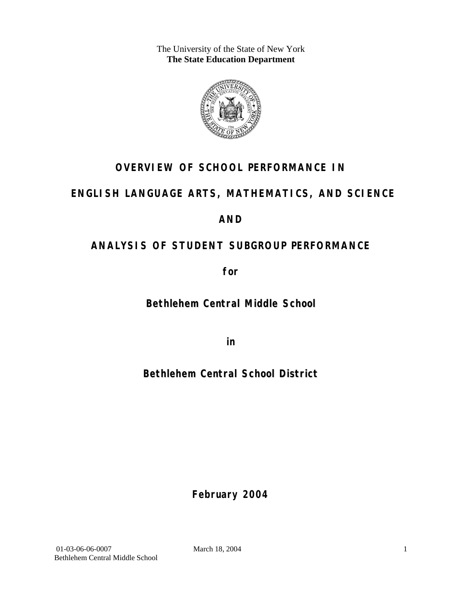The University of the State of New York **The State Education Department** 



# **OVERVIEW OF SCHOOL PERFORMANCE IN**

## **ENGLISH LANGUAGE ARTS, MATHEMATICS, AND SCIENCE**

### **AND**

# **ANALYSIS OF STUDENT SUBGROUP PERFORMANCE**

**for** 

**Bethlehem Central Middle School**

**in** 

# **Bethlehem Central School District**

**February 2004**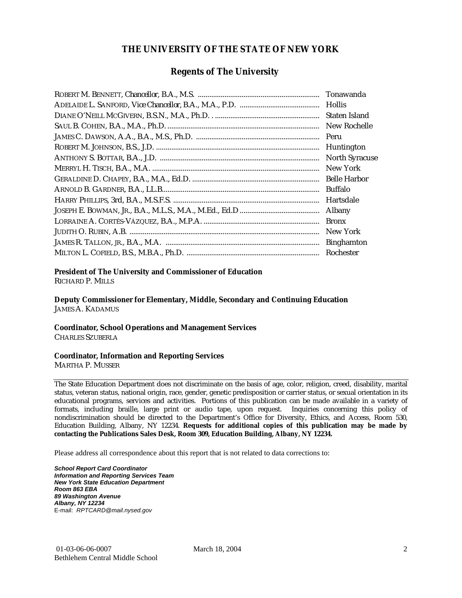### **THE UNIVERSITY OF THE STATE OF NEW YORK**

### **Regents of The University**

| Tonawanda             |
|-----------------------|
| <b>Hollis</b>         |
| Staten Island         |
| New Rochelle          |
| Peru                  |
| Huntington            |
| <b>North Syracuse</b> |
| New York              |
| <b>Belle Harbor</b>   |
| Buffalo               |
| Hartsdale             |
| Albany                |
| <b>Bronx</b>          |
| New York              |
| <b>Binghamton</b>     |
| Rochester             |

#### **President of The University and Commissioner of Education**

RICHARD P. MILLS

**Deputy Commissioner for Elementary, Middle, Secondary and Continuing Education**  JAMES A. KADAMUS

#### **Coordinator, School Operations and Management Services**

CHARLES SZUBERLA

#### **Coordinator, Information and Reporting Services**

MARTHA P. MUSSER

The State Education Department does not discriminate on the basis of age, color, religion, creed, disability, marital status, veteran status, national origin, race, gender, genetic predisposition or carrier status, or sexual orientation in its educational programs, services and activities. Portions of this publication can be made available in a variety of formats, including braille, large print or audio tape, upon request. Inquiries concerning this policy of nondiscrimination should be directed to the Department's Office for Diversity, Ethics, and Access, Room 530, Education Building, Albany, NY 12234. **Requests for additional copies of this publication may be made by contacting the Publications Sales Desk, Room 309, Education Building, Albany, NY 12234.** 

Please address all correspondence about this report that is not related to data corrections to:

*School Report Card Coordinator Information and Reporting Services Team New York State Education Department Room 863 EBA 89 Washington Avenue Albany, NY 12234*  E-mail: *RPTCARD@mail.nysed.gov*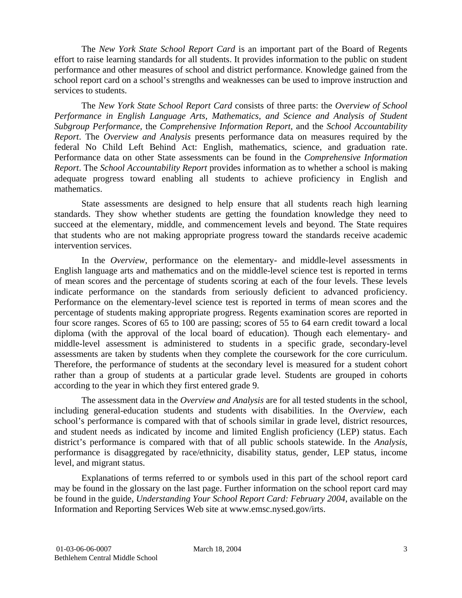The *New York State School Report Card* is an important part of the Board of Regents effort to raise learning standards for all students. It provides information to the public on student performance and other measures of school and district performance. Knowledge gained from the school report card on a school's strengths and weaknesses can be used to improve instruction and services to students.

The *New York State School Report Card* consists of three parts: the *Overview of School Performance in English Language Arts, Mathematics, and Science and Analysis of Student Subgroup Performance,* the *Comprehensive Information Report,* and the *School Accountability Report*. The *Overview and Analysis* presents performance data on measures required by the federal No Child Left Behind Act: English, mathematics, science, and graduation rate. Performance data on other State assessments can be found in the *Comprehensive Information Report*. The *School Accountability Report* provides information as to whether a school is making adequate progress toward enabling all students to achieve proficiency in English and mathematics.

State assessments are designed to help ensure that all students reach high learning standards. They show whether students are getting the foundation knowledge they need to succeed at the elementary, middle, and commencement levels and beyond. The State requires that students who are not making appropriate progress toward the standards receive academic intervention services.

In the *Overview*, performance on the elementary- and middle-level assessments in English language arts and mathematics and on the middle-level science test is reported in terms of mean scores and the percentage of students scoring at each of the four levels. These levels indicate performance on the standards from seriously deficient to advanced proficiency. Performance on the elementary-level science test is reported in terms of mean scores and the percentage of students making appropriate progress. Regents examination scores are reported in four score ranges. Scores of 65 to 100 are passing; scores of 55 to 64 earn credit toward a local diploma (with the approval of the local board of education). Though each elementary- and middle-level assessment is administered to students in a specific grade, secondary-level assessments are taken by students when they complete the coursework for the core curriculum. Therefore, the performance of students at the secondary level is measured for a student cohort rather than a group of students at a particular grade level. Students are grouped in cohorts according to the year in which they first entered grade 9.

The assessment data in the *Overview and Analysis* are for all tested students in the school, including general-education students and students with disabilities. In the *Overview*, each school's performance is compared with that of schools similar in grade level, district resources, and student needs as indicated by income and limited English proficiency (LEP) status. Each district's performance is compared with that of all public schools statewide. In the *Analysis*, performance is disaggregated by race/ethnicity, disability status, gender, LEP status, income level, and migrant status.

Explanations of terms referred to or symbols used in this part of the school report card may be found in the glossary on the last page. Further information on the school report card may be found in the guide, *Understanding Your School Report Card: February 2004*, available on the Information and Reporting Services Web site at www.emsc.nysed.gov/irts.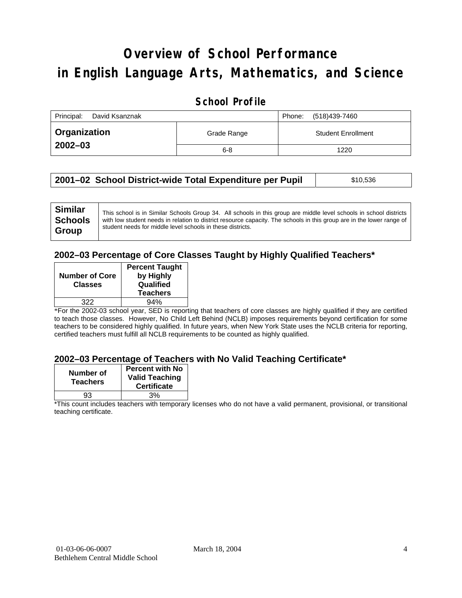# **Overview of School Performance in English Language Arts, Mathematics, and Science**

### **School Profile**

| Principal:<br>David Ksanznak |             | (518)439-7460<br>Phone:   |
|------------------------------|-------------|---------------------------|
| <b>Organization</b>          | Grade Range | <b>Student Enrollment</b> |
| $2002 - 03$                  | $6 - 8$     | 1220                      |

| 2001–02 School District-wide Total Expenditure per Pupil | \$10,536 |
|----------------------------------------------------------|----------|
|                                                          |          |

### **2002–03 Percentage of Core Classes Taught by Highly Qualified Teachers\***

\*For the 2002-03 school year, SED is reporting that teachers of core classes are highly qualified if they are certified to teach those classes. However, No Child Left Behind (NCLB) imposes requirements beyond certification for some teachers to be considered highly qualified. In future years, when New York State uses the NCLB criteria for reporting, certified teachers must fulfill all NCLB requirements to be counted as highly qualified.

#### **2002–03 Percentage of Teachers with No Valid Teaching Certificate\***

| Number of<br><b>Teachers</b> | <b>Percent with No</b><br><b>Valid Teaching</b><br><b>Certificate</b> |
|------------------------------|-----------------------------------------------------------------------|
| 93                           | 3%                                                                    |

\*This count includes teachers with temporary licenses who do not have a valid permanent, provisional, or transitional teaching certificate.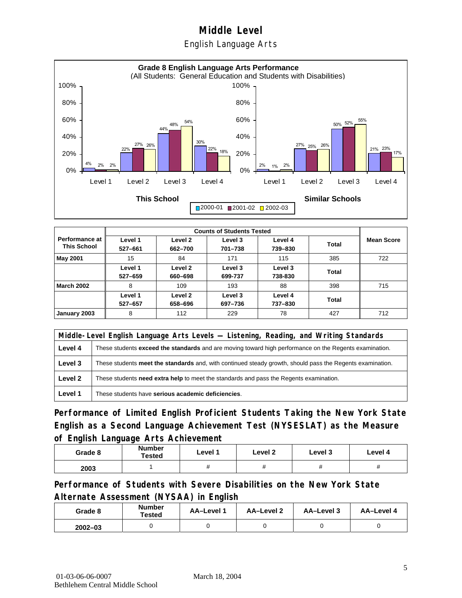### English Language Arts



| <b>Performance at</b><br><b>This School</b> | Level 1<br>527-661 | Level 2<br>662-700 | Level 3<br>701-738 | Level 4<br>739-830 | Total | <b>Mean Score</b> |
|---------------------------------------------|--------------------|--------------------|--------------------|--------------------|-------|-------------------|
| May 2001                                    | 15                 | 84                 | 171                | 115                | 385   | 722               |
|                                             | Level 1<br>527-659 | Level 2<br>660-698 | Level 3<br>699-737 | Level 3<br>738-830 | Total |                   |
| <b>March 2002</b>                           | 8                  | 109                | 193                | 88                 | 398   | 715               |
|                                             | Level 1<br>527-657 | Level 2<br>658-696 | Level 3<br>697-736 | Level 4<br>737-830 | Total |                   |
| January 2003                                | 8                  | 112                | 229                | 78                 | 427   | 712               |

| Middle-Level English Language Arts Levels — Listening, Reading, and Writing Standards |                                                                                                               |  |  |
|---------------------------------------------------------------------------------------|---------------------------------------------------------------------------------------------------------------|--|--|
| Level 4                                                                               | These students <b>exceed the standards</b> and are moving toward high performance on the Regents examination. |  |  |
| Level 3                                                                               | These students meet the standards and, with continued steady growth, should pass the Regents examination.     |  |  |
| Level 2                                                                               | These students need extra help to meet the standards and pass the Regents examination.                        |  |  |
| Level 1                                                                               | These students have serious academic deficiencies.                                                            |  |  |

**Performance of Limited English Proficient Students Taking the New York State English as a Second Language Achievement Test (NYSESLAT) as the Measure of English Language Arts Achievement**

| Grade 8 | Number<br>Tested | Level 1 | Level 2  | Level 3  | Level 4  |
|---------|------------------|---------|----------|----------|----------|
| 2003    |                  | Ħ       | $^{\pi}$ | $^{\pi}$ | $^{\pi}$ |

**Performance of Students with Severe Disabilities on the New York State Alternate Assessment (NYSAA) in English** 

| Grade 8     | <b>Number</b><br>Tested | AA-Level 1 | AA-Level 2 | AA-Level 3 | AA-Level 4 |
|-------------|-------------------------|------------|------------|------------|------------|
| $2002 - 03$ |                         |            |            |            |            |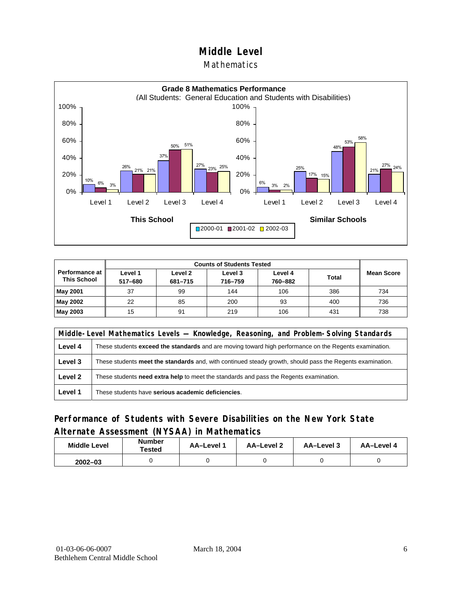#### Mathematics



| <b>Counts of Students Tested</b>     |                    |                    |                    |                    |              |                   |
|--------------------------------------|--------------------|--------------------|--------------------|--------------------|--------------|-------------------|
| Performance at<br><b>This School</b> | Level 1<br>517-680 | Level 2<br>681-715 | Level 3<br>716-759 | Level 4<br>760-882 | <b>Total</b> | <b>Mean Score</b> |
| <b>May 2001</b>                      | 37                 | 99                 | 144                | 106                | 386          | 734               |
| May 2002                             | 22                 | 85                 | 200                | 93                 | 400          | 736               |
| May 2003                             | 15                 | 91                 | 219                | 106                | 431          | 738               |

| Middle-Level Mathematics Levels — Knowledge, Reasoning, and Problem-Solving Standards |                                                                                                               |  |  |
|---------------------------------------------------------------------------------------|---------------------------------------------------------------------------------------------------------------|--|--|
| Level 4                                                                               | These students <b>exceed the standards</b> and are moving toward high performance on the Regents examination. |  |  |
| Level 3                                                                               | These students meet the standards and, with continued steady growth, should pass the Regents examination.     |  |  |
| Level 2                                                                               | These students <b>need extra help</b> to meet the standards and pass the Regents examination.                 |  |  |
| Level 1                                                                               | These students have serious academic deficiencies.                                                            |  |  |

### **Performance of Students with Severe Disabilities on the New York State Alternate Assessment (NYSAA) in Mathematics**

| <b>Middle Level</b> | <b>Number</b><br>Tested | <b>AA-Level</b> | AA-Level 2 | AA-Level 3 | AA-Level 4 |  |
|---------------------|-------------------------|-----------------|------------|------------|------------|--|
| $2002 - 03$         |                         |                 |            |            |            |  |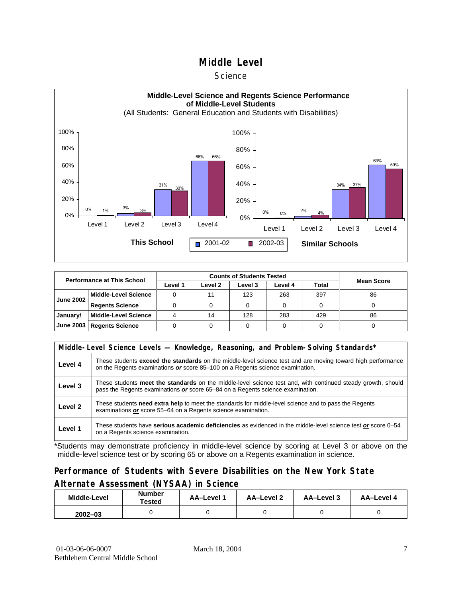#### **Science**



| <b>Performance at This School</b> |                             |         | <b>Mean Score</b> |         |         |       |    |
|-----------------------------------|-----------------------------|---------|-------------------|---------|---------|-------|----|
|                                   |                             | Level 1 | Level 2           | Level 3 | Level 4 | Total |    |
| <b>June 2002</b>                  | <b>Middle-Level Science</b> |         |                   | 123     | 263     | 397   | 86 |
|                                   | <b>Regents Science</b>      |         |                   |         |         |       |    |
| January/                          | <b>Middle-Level Science</b> |         | 14                | 128     | 283     | 429   | 86 |
|                                   | June 2003   Regents Science |         |                   |         |         |       |    |

|         | Middle-Level Science Levels — Knowledge, Reasoning, and Problem-Solving Standards*                                                                                                                  |  |  |  |  |  |  |  |
|---------|-----------------------------------------------------------------------------------------------------------------------------------------------------------------------------------------------------|--|--|--|--|--|--|--|
| Level 4 | These students <b>exceed the standards</b> on the middle-level science test and are moving toward high performance<br>on the Regents examinations or score 85-100 on a Regents science examination. |  |  |  |  |  |  |  |
| Level 3 | These students meet the standards on the middle-level science test and, with continued steady growth, should<br>pass the Regents examinations or score 65-84 on a Regents science examination.      |  |  |  |  |  |  |  |
| Level 2 | These students need extra help to meet the standards for middle-level science and to pass the Regents<br>examinations or score 55-64 on a Regents science examination.                              |  |  |  |  |  |  |  |
| Level 1 | These students have serious academic deficiencies as evidenced in the middle-level science test or score 0–54<br>on a Regents science examination.                                                  |  |  |  |  |  |  |  |

\*Students may demonstrate proficiency in middle-level science by scoring at Level 3 or above on the middle-level science test or by scoring 65 or above on a Regents examination in science.

### **Performance of Students with Severe Disabilities on the New York State Alternate Assessment (NYSAA) in Science**

| Middle-Level | <b>Number</b><br>Tested | AA-Level 1 | AA-Level 2 | AA-Level 3 | AA-Level 4 |  |
|--------------|-------------------------|------------|------------|------------|------------|--|
| $2002 - 03$  |                         |            |            |            |            |  |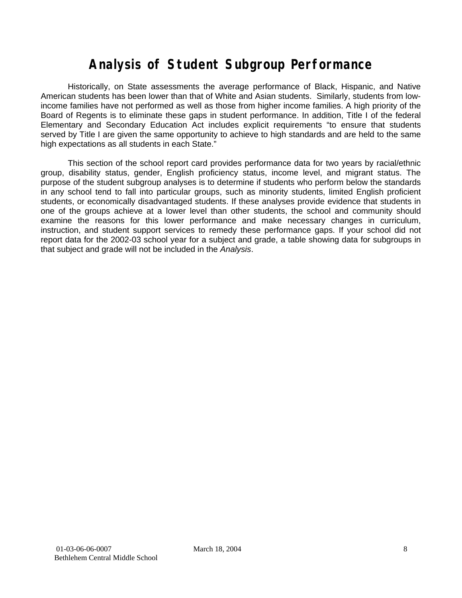# **Analysis of Student Subgroup Performance**

Historically, on State assessments the average performance of Black, Hispanic, and Native American students has been lower than that of White and Asian students. Similarly, students from lowincome families have not performed as well as those from higher income families. A high priority of the Board of Regents is to eliminate these gaps in student performance. In addition, Title I of the federal Elementary and Secondary Education Act includes explicit requirements "to ensure that students served by Title I are given the same opportunity to achieve to high standards and are held to the same high expectations as all students in each State."

This section of the school report card provides performance data for two years by racial/ethnic group, disability status, gender, English proficiency status, income level, and migrant status. The purpose of the student subgroup analyses is to determine if students who perform below the standards in any school tend to fall into particular groups, such as minority students, limited English proficient students, or economically disadvantaged students. If these analyses provide evidence that students in one of the groups achieve at a lower level than other students, the school and community should examine the reasons for this lower performance and make necessary changes in curriculum, instruction, and student support services to remedy these performance gaps. If your school did not report data for the 2002-03 school year for a subject and grade, a table showing data for subgroups in that subject and grade will not be included in the *Analysis*.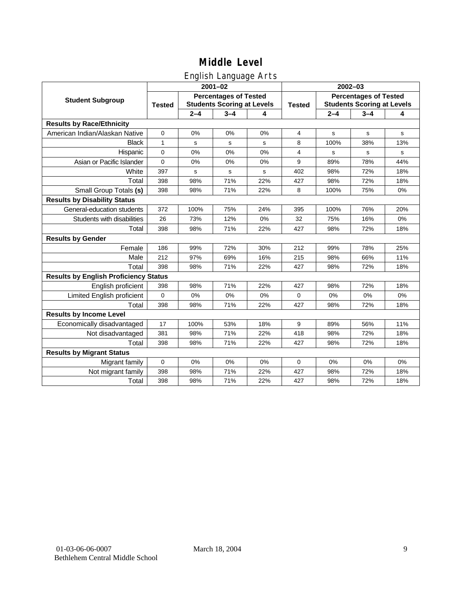### English Language Arts

|                                              |                                                                                    |             | ັ<br>$2001 - 02$ |     | 2002-03       |             |                                                                   |     |  |
|----------------------------------------------|------------------------------------------------------------------------------------|-------------|------------------|-----|---------------|-------------|-------------------------------------------------------------------|-----|--|
| <b>Student Subgroup</b>                      | <b>Percentages of Tested</b><br><b>Students Scoring at Levels</b><br><b>Tested</b> |             |                  |     | <b>Tested</b> |             | <b>Percentages of Tested</b><br><b>Students Scoring at Levels</b> |     |  |
|                                              |                                                                                    | $2 - 4$     | $3 - 4$          | 4   |               | $2 - 4$     | $3 - 4$                                                           | 4   |  |
| <b>Results by Race/Ethnicity</b>             |                                                                                    |             |                  |     |               |             |                                                                   |     |  |
| American Indian/Alaskan Native               | $\mathbf 0$                                                                        | 0%          | 0%               | 0%  | 4             | $\mathbf s$ | s                                                                 | s   |  |
| <b>Black</b>                                 | $\mathbf{1}$                                                                       | s           | $\mathbf s$      | s   | 8             | 100%        | 38%                                                               | 13% |  |
| Hispanic                                     | $\Omega$                                                                           | 0%          | 0%               | 0%  | 4             | s           | s                                                                 | s   |  |
| Asian or Pacific Islander                    | $\mathbf 0$                                                                        | 0%          | 0%               | 0%  | 9             | 89%         | 78%                                                               | 44% |  |
| White                                        | 397                                                                                | $\mathbf s$ | $\mathbf s$      | s   | 402           | 98%         | 72%                                                               | 18% |  |
| Total                                        | 398                                                                                | 98%         | 71%              | 22% | 427           | 98%         | 72%                                                               | 18% |  |
| Small Group Totals (s)                       | 398                                                                                | 98%         | 71%              | 22% | 8             | 100%        | 75%                                                               | 0%  |  |
| <b>Results by Disability Status</b>          |                                                                                    |             |                  |     |               |             |                                                                   |     |  |
| General-education students                   | 372                                                                                | 100%        | 75%              | 24% | 395           | 100%        | 76%                                                               | 20% |  |
| Students with disabilities                   | 26                                                                                 | 73%         | 12%              | 0%  | 32            | 75%         | 16%                                                               | 0%  |  |
| Total                                        | 398                                                                                | 98%         | 71%              | 22% | 427           | 98%         | 72%                                                               | 18% |  |
| <b>Results by Gender</b>                     |                                                                                    |             |                  |     |               |             |                                                                   |     |  |
| Female                                       | 186                                                                                | 99%         | 72%              | 30% | 212           | 99%         | 78%                                                               | 25% |  |
| Male                                         | 212                                                                                | 97%         | 69%              | 16% | 215           | 98%         | 66%                                                               | 11% |  |
| Total                                        | 398                                                                                | 98%         | 71%              | 22% | 427           | 98%         | 72%                                                               | 18% |  |
| <b>Results by English Proficiency Status</b> |                                                                                    |             |                  |     |               |             |                                                                   |     |  |
| English proficient                           | 398                                                                                | 98%         | 71%              | 22% | 427           | 98%         | 72%                                                               | 18% |  |
| Limited English proficient                   | $\mathbf 0$                                                                        | 0%          | 0%               | 0%  | 0             | 0%          | 0%                                                                | 0%  |  |
| Total                                        | 398                                                                                | 98%         | 71%              | 22% | 427           | 98%         | 72%                                                               | 18% |  |
| <b>Results by Income Level</b>               |                                                                                    |             |                  |     |               |             |                                                                   |     |  |
| Economically disadvantaged                   | 17                                                                                 | 100%        | 53%              | 18% | 9             | 89%         | 56%                                                               | 11% |  |
| Not disadvantaged                            | 381                                                                                | 98%         | 71%              | 22% | 418           | 98%         | 72%                                                               | 18% |  |
| Total                                        | 398                                                                                | 98%         | 71%              | 22% | 427           | 98%         | 72%                                                               | 18% |  |
| <b>Results by Migrant Status</b>             |                                                                                    |             |                  |     |               |             |                                                                   |     |  |
| Migrant family                               | $\mathbf 0$                                                                        | 0%          | 0%               | 0%  | 0             | 0%          | 0%                                                                | 0%  |  |
| Not migrant family                           | 398                                                                                | 98%         | 71%              | 22% | 427           | 98%         | 72%                                                               | 18% |  |
| Total                                        | 398                                                                                | 98%         | 71%              | 22% | 427           | 98%         | 72%                                                               | 18% |  |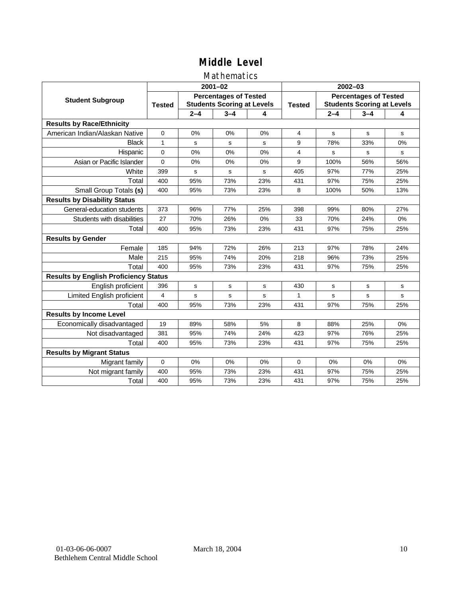### Mathematics

|                                              |               |         | $2001 - 02$                                                       |     | $2002 - 03$    |                                                                   |         |     |  |
|----------------------------------------------|---------------|---------|-------------------------------------------------------------------|-----|----------------|-------------------------------------------------------------------|---------|-----|--|
| <b>Student Subgroup</b>                      | <b>Tested</b> |         | <b>Percentages of Tested</b><br><b>Students Scoring at Levels</b> |     | <b>Tested</b>  | <b>Percentages of Tested</b><br><b>Students Scoring at Levels</b> |         |     |  |
|                                              |               | $2 - 4$ | $3 - 4$                                                           | 4   |                | $2 - 4$                                                           | $3 - 4$ | 4   |  |
| <b>Results by Race/Ethnicity</b>             |               |         |                                                                   |     |                |                                                                   |         |     |  |
| American Indian/Alaskan Native               | $\Omega$      | 0%      | 0%                                                                | 0%  | $\overline{4}$ | s                                                                 | s       | s   |  |
| <b>Black</b>                                 | 1             | s       | s                                                                 | s   | 9              | 78%                                                               | 33%     | 0%  |  |
| Hispanic                                     | $\Omega$      | 0%      | 0%                                                                | 0%  | 4              | s                                                                 | s       | s   |  |
| Asian or Pacific Islander                    | 0             | 0%      | 0%                                                                | 0%  | 9              | 100%                                                              | 56%     | 56% |  |
| White                                        | 399           | s       | $\mathbf s$                                                       | s   | 405            | 97%                                                               | 77%     | 25% |  |
| Total                                        | 400           | 95%     | 73%                                                               | 23% | 431            | 97%                                                               | 75%     | 25% |  |
| Small Group Totals (s)                       | 400           | 95%     | 73%                                                               | 23% | 8              | 100%                                                              | 50%     | 13% |  |
| <b>Results by Disability Status</b>          |               |         |                                                                   |     |                |                                                                   |         |     |  |
| General-education students                   | 373           | 96%     | 77%                                                               | 25% | 398            | 99%                                                               | 80%     | 27% |  |
| Students with disabilities                   | 27            | 70%     | 26%                                                               | 0%  | 33             | 70%                                                               | 24%     | 0%  |  |
| Total                                        | 400           | 95%     | 73%                                                               | 23% | 431            | 97%                                                               | 75%     | 25% |  |
| <b>Results by Gender</b>                     |               |         |                                                                   |     |                |                                                                   |         |     |  |
| Female                                       | 185           | 94%     | 72%                                                               | 26% | 213            | 97%                                                               | 78%     | 24% |  |
| Male                                         | 215           | 95%     | 74%                                                               | 20% | 218            | 96%                                                               | 73%     | 25% |  |
| Total                                        | 400           | 95%     | 73%                                                               | 23% | 431            | 97%                                                               | 75%     | 25% |  |
| <b>Results by English Proficiency Status</b> |               |         |                                                                   |     |                |                                                                   |         |     |  |
| English proficient                           | 396           | s       | s                                                                 | s   | 430            | s                                                                 | s       | s   |  |
| Limited English proficient                   | 4             | s       | s                                                                 | s   | 1              | s                                                                 | s       | s   |  |
| Total                                        | 400           | 95%     | 73%                                                               | 23% | 431            | 97%                                                               | 75%     | 25% |  |
| <b>Results by Income Level</b>               |               |         |                                                                   |     |                |                                                                   |         |     |  |
| Economically disadvantaged                   | 19            | 89%     | 58%                                                               | 5%  | 8              | 88%                                                               | 25%     | 0%  |  |
| Not disadvantaged                            | 381           | 95%     | 74%                                                               | 24% | 423            | 97%                                                               | 76%     | 25% |  |
| Total                                        | 400           | 95%     | 73%                                                               | 23% | 431            | 97%                                                               | 75%     | 25% |  |
| <b>Results by Migrant Status</b>             |               |         |                                                                   |     |                |                                                                   |         |     |  |
| Migrant family                               | 0             | 0%      | 0%                                                                | 0%  | $\Omega$       | 0%                                                                | $0\%$   | 0%  |  |
| Not migrant family                           | 400           | 95%     | 73%                                                               | 23% | 431            | 97%                                                               | 75%     | 25% |  |
| Total                                        | 400           | 95%     | 73%                                                               | 23% | 431            | 97%                                                               | 75%     | 25% |  |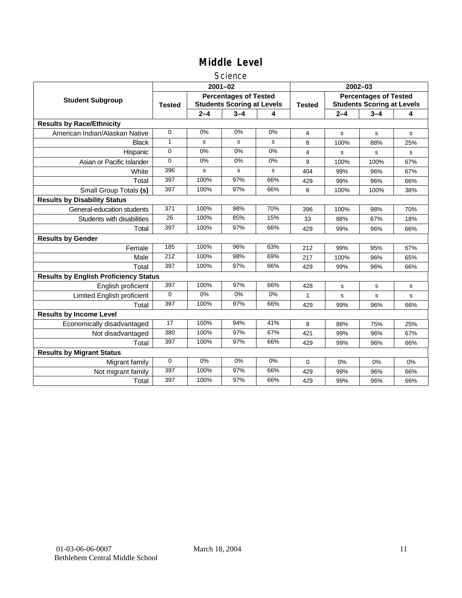### **Science**

|                                              |                  |         | $2001 - 02$                                                       |       | $2002 - 03$   |                                                                   |         |     |
|----------------------------------------------|------------------|---------|-------------------------------------------------------------------|-------|---------------|-------------------------------------------------------------------|---------|-----|
| <b>Student Subgroup</b>                      | <b>Tested</b>    |         | <b>Percentages of Tested</b><br><b>Students Scoring at Levels</b> |       | <b>Tested</b> | <b>Percentages of Tested</b><br><b>Students Scoring at Levels</b> |         |     |
|                                              |                  | $2 - 4$ | $3 - 4$                                                           | 4     |               | $2 - 4$                                                           | $3 - 4$ | 4   |
| <b>Results by Race/Ethnicity</b>             |                  |         |                                                                   |       |               |                                                                   |         |     |
| American Indian/Alaskan Native               | $\Omega$         | 0%      | 0%                                                                | 0%    | 4             | s                                                                 | s       | s   |
| <b>Black</b>                                 | 1                | s       | s                                                                 | s     | 8             | 100%                                                              | 88%     | 25% |
| Hispanic                                     | 0                | 0%      | 0%                                                                | 0%    | 4             | s                                                                 | s       | s   |
| Asian or Pacific Islander                    | $\Omega$         | 0%      | 0%                                                                | 0%    | 9             | 100%                                                              | 100%    | 67% |
| White                                        | 396              | s       | s                                                                 | s     | 404           | 99%                                                               | 96%     | 67% |
| Total                                        | 397              | 100%    | 97%                                                               | 66%   | 429           | 99%                                                               | 96%     | 66% |
| Small Group Totals (s)                       | $\overline{397}$ | 100%    | 97%                                                               | 66%   | 8             | 100%                                                              | 100%    | 38% |
| <b>Results by Disability Status</b>          |                  |         |                                                                   |       |               |                                                                   |         |     |
| General-education students                   | 371              | 100%    | 98%                                                               | 70%   | 396           | 100%                                                              | 98%     | 70% |
| Students with disabilities                   | 26               | 100%    | 85%                                                               | 15%   | 33            | 88%                                                               | 67%     | 18% |
| Total                                        | 397              | 100%    | 97%                                                               | 66%   | 429           | 99%                                                               | 96%     | 66% |
| <b>Results by Gender</b>                     |                  |         |                                                                   |       |               |                                                                   |         |     |
| Female                                       | 185              | 100%    | 96%                                                               | 63%   | 212           | 99%                                                               | 95%     | 67% |
| Male                                         | 212              | 100%    | 98%                                                               | 69%   | 217           | 100%                                                              | 96%     | 65% |
| Total                                        | 397              | 100%    | 97%                                                               | 66%   | 429           | 99%                                                               | 96%     | 66% |
| <b>Results by English Proficiency Status</b> |                  |         |                                                                   |       |               |                                                                   |         |     |
| English proficient                           | 397              | 100%    | 97%                                                               | 66%   | 428           | $\mathbf s$                                                       | s       | s   |
| Limited English proficient                   | $\Omega$         | $0\%$   | 0%                                                                | $0\%$ | 1             | s                                                                 | s       | s   |
| Total                                        | 397              | 100%    | 97%                                                               | 66%   | 429           | 99%                                                               | 96%     | 66% |
| <b>Results by Income Level</b>               |                  |         |                                                                   |       |               |                                                                   |         |     |
| Economically disadvantaged                   | 17               | 100%    | 94%                                                               | 41%   | 8             | 88%                                                               | 75%     | 25% |
| Not disadvantaged                            | 380              | 100%    | 97%                                                               | 67%   | 421           | 99%                                                               | 96%     | 67% |
| Total                                        | 397              | 100%    | 97%                                                               | 66%   | 429           | 99%                                                               | 96%     | 66% |
| <b>Results by Migrant Status</b>             |                  |         |                                                                   |       |               |                                                                   |         |     |
| Migrant family                               | $\mathbf 0$      | 0%      | 0%                                                                | 0%    | 0             | 0%                                                                | 0%      | 0%  |
| Not migrant family                           | 397              | 100%    | 97%                                                               | 66%   | 429           | 99%                                                               | 96%     | 66% |
| Total                                        | 397              | 100%    | 97%                                                               | 66%   | 429           | 99%                                                               | 96%     | 66% |